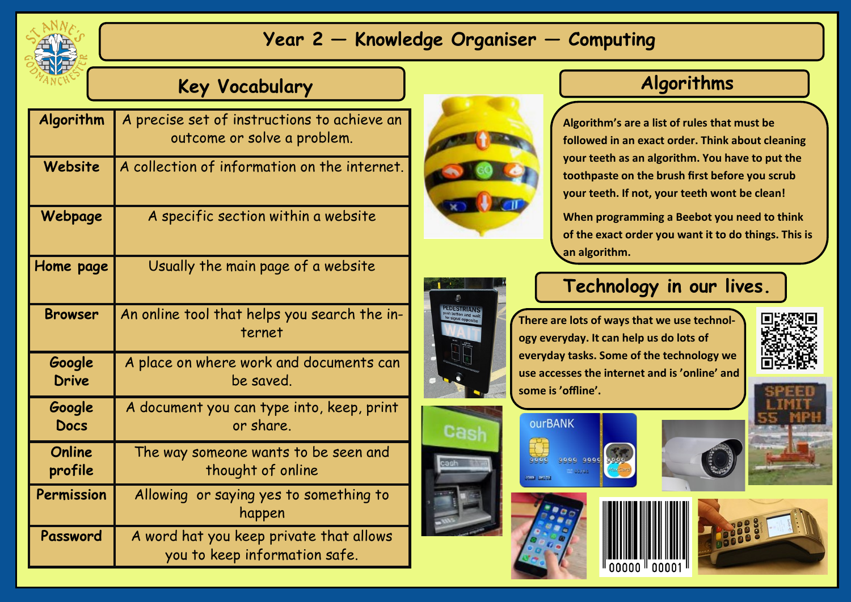

## **Year 2 — Knowledge Organiser — Computing**

## **Key Vocabulary**

| Algorithm              | A precise set of instructions to achieve an<br>outcome or solve a problem. |
|------------------------|----------------------------------------------------------------------------|
| Website                | A collection of information on the internet.                               |
| Webpage                | A specific section within a website                                        |
| Home page              | Usually the main page of a website                                         |
| <b>Browser</b>         | An online tool that helps you search the in-<br>ternet                     |
| Google<br><b>Drive</b> | A place on where work and documents can<br>be saved.                       |
| Google<br><b>Docs</b>  | A document you can type into, keep, print<br>or share.                     |
| Online<br>profile      | The way someone wants to be seen and<br>thought of online                  |
| Permission             | Allowing or saying yes to something to<br>happen                           |
| Password               | A word hat you keep private that allows<br>you to keep information safe.   |



## **Algorithms**

**Algorithm's are a list of rules that must be followed in an exact order. Think about cleaning your teeth as an algorithm. You have to put the toothpaste on the brush first before you scrub your teeth. If not, your teeth wont be clean!**

**When programming a Beebot you need to think of the exact order you want it to do things. This is an algorithm.** 



Cash

#### **Technology in our lives.**

**There are lots of ways that we use technology everyday. It can help us do lots of everyday tasks. Some of the technology we use accesses the internet and is 'online' and some is 'offline'.**